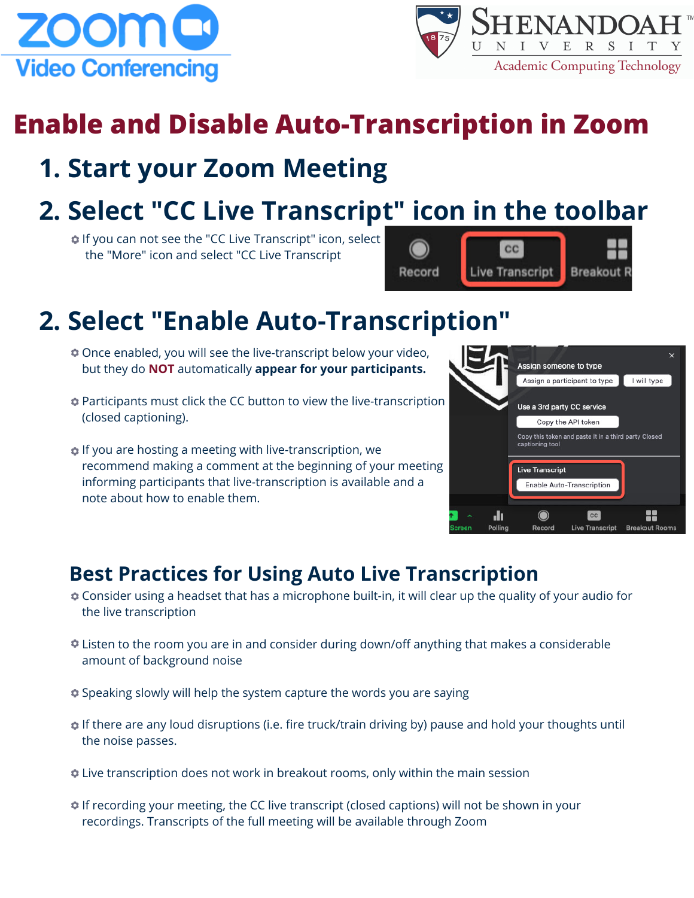



# **Enable and Disable Auto-Transcription in Zoom**

### **1. Start your Zoom Meeting**

## **2. Select "CC Live Transcript" icon in the toolbar**

**If you can not see the "CC Live Transcript" icon, select** the "More" icon and select "CC Live Transcript



## **2. Select "Enable Auto-Transcription"**

- **C** Once enabled, you will see the live-transcript below your video, but they do **NOT** automatically **appear for your participants.**
- Participants must click the CC button to view the live-transcription (closed captioning).
- **If you are hosting a meeting with live-transcription, we** recommend making a comment at the beginning of your meeting informing participants that live-transcription is available and a note about how to enable them.



### **Best Practices for Using Auto Live Transcription**

- Consider using a headset that has a microphone built-in, it will clear up the quality of your audio for the live transcription
- **Example 2** Listen to the room you are in and consider during down/off anything that makes a considerable amount of background noise
- **Speaking slowly will help the system capture the words you are saying**
- **If there are any loud disruptions (i.e. fire truck/train driving by) pause and hold your thoughts until** the noise passes.
- Live transcription does not work in breakout rooms, only within the main session
- If recording your meeting, the CC live transcript (closed captions) will not be shown in your recordings. Transcripts of the full meeting will be available through Zoom